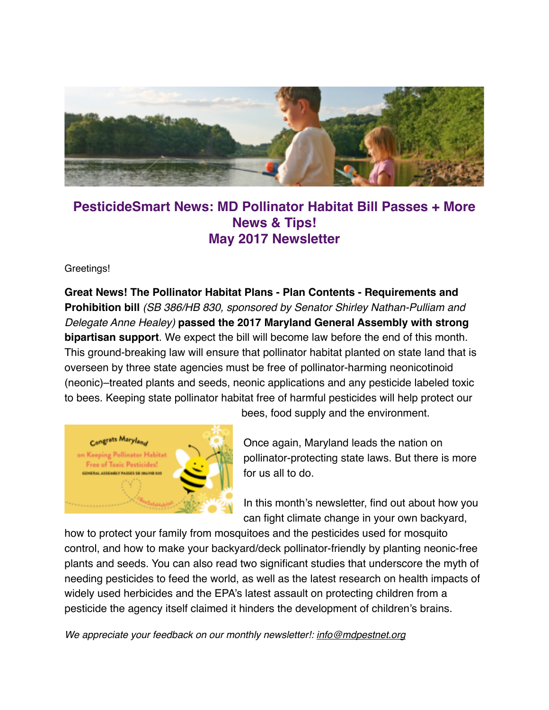

# **PesticideSmart News: MD Pollinator Habitat Bill Passes + More News & Tips! May 2017 Newsletter**

Greetings!

**Great News! The Pollinator Habitat Plans - Plan Contents - Requirements and Prohibition bill** *(SB 386/HB 830, sponsored by Senator Shirley Nathan-Pulliam and Delegate Anne Healey)* **passed the 2017 Maryland General Assembly with strong bipartisan support**. We expect the bill will become law before the end of this month. This ground-breaking law will ensure that pollinator habitat planted on state land that is overseen by three state agencies must be free of pollinator-harming neonicotinoid (neonic)–treated plants and seeds, neonic applications and any pesticide labeled toxic to bees. Keeping state pollinator habitat free of harmful pesticides will help protect our



bees, food supply and the environment.

Once again, Maryland leads the nation on pollinator-protecting state laws. But there is more for us all to do.

In this month's newsletter, find out about how you can fight climate change in your own backyard,

how to protect your family from mosquitoes and the pesticides used for mosquito control, and how to make your backyard/deck pollinator-friendly by planting neonic-free plants and seeds. You can also read two significant studies that underscore the myth of needing pesticides to feed the world, as well as the latest research on health impacts of widely used herbicides and the EPA's latest assault on protecting children from a pesticide the agency itself claimed it hinders the development of children's brains.

*We appreciate your feedback on our monthly newsletter!: [info@mdpestnet.org](mailto:info@mdpestnet.org)*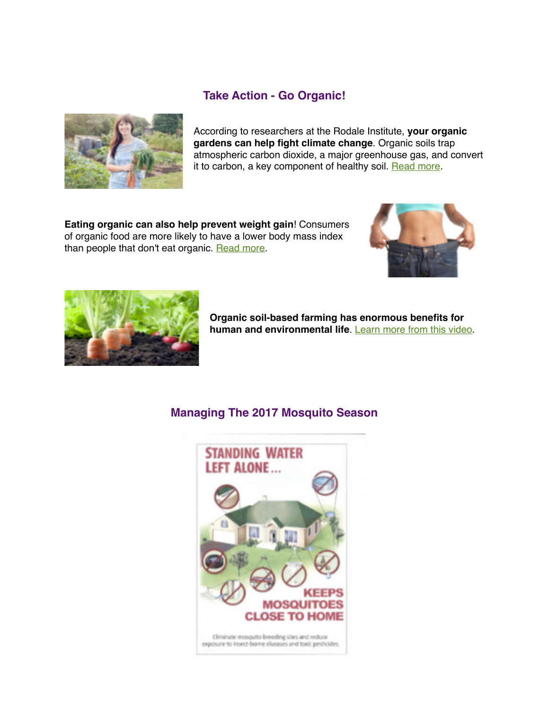### **Take Action - Go Organic!**



According to researchers at the Rodale Institute, **your organic gardens can help fight climate change**. Organic soils trap atmospheric carbon dioxide, a major greenhouse gas, and convert it to carbon, a key component of healthy soil. [Read more](http://mdpestnet.us12.list-manage.com/track/click?u=dcf08b5ef315f2faae2ed89b7&id=d305436771&e=f5232c3d36).

**Eating organic can also help prevent weight gain**! Consumers of organic food are more likely to have a lower body mass index than people that don't eat organic. [Read more](http://mdpestnet.us12.list-manage.com/track/click?u=dcf08b5ef315f2faae2ed89b7&id=b3e1391590&e=f5232c3d36).





**Organic soil-based farming has enormous benefits for**  human and environmental life. **[Learn more from this video.](http://mdpestnet.us12.list-manage.com/track/click?u=dcf08b5ef315f2faae2ed89b7&id=da039ab9f0&e=f5232c3d36)** 

# **Managing The 2017 Mosquito Season**

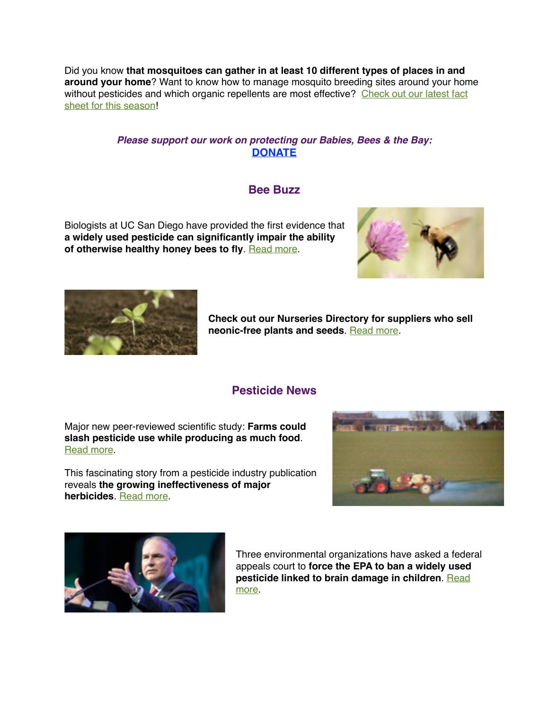Did you know **that mosquitoes can gather in at least 10 different types of places in and around your home**? Want to know how to manage mosquito breeding sites around your home without pesticides and which organic repellents are most effective? Check out our latest fact sheet for this season!

#### *Please support our work on protecting our Babies, Bees & the Bay:* **[DONATE](http://mdpestnet.us12.list-manage.com/track/click?u=dcf08b5ef315f2faae2ed89b7&id=5ee26d3a63&e=f5232c3d36)**

#### **Bee Buzz**

Biologists at UC San Diego have provided the first evidence that **a widely used pesticide can significantly impair the ability of otherwise healthy honey bees to fly**. [Read more.](http://mdpestnet.us12.list-manage1.com/track/click?u=dcf08b5ef315f2faae2ed89b7&id=a217bc08e4&e=f5232c3d36)





**Check out our Nurseries Directory for suppliers who sell neonic-free plants and seeds. [Read more](http://mdpestnet.us12.list-manage2.com/track/click?u=dcf08b5ef315f2faae2ed89b7&id=7963d08dca&e=f5232c3d36).** 

### **Pesticide News**

Major new peer-reviewed scientific study: **Farms could slash pesticide use while producing as much food**. [Read more](http://mdpestnet.us12.list-manage1.com/track/click?u=dcf08b5ef315f2faae2ed89b7&id=b1949782c7&e=f5232c3d36).

This fascinating story from a pesticide industry publication reveals **the growing ineffectiveness of major herbicides**. [Read more.](http://mdpestnet.us12.list-manage.com/track/click?u=dcf08b5ef315f2faae2ed89b7&id=1eaa495571&e=f5232c3d36)





Three environmental organizations have asked a federal appeals court to **force the EPA to ban a widely used**  [pesticide linked to brain damage in children](http://mdpestnet.us12.list-manage.com/track/click?u=dcf08b5ef315f2faae2ed89b7&id=c2ab52027c&e=f5232c3d36). Read more.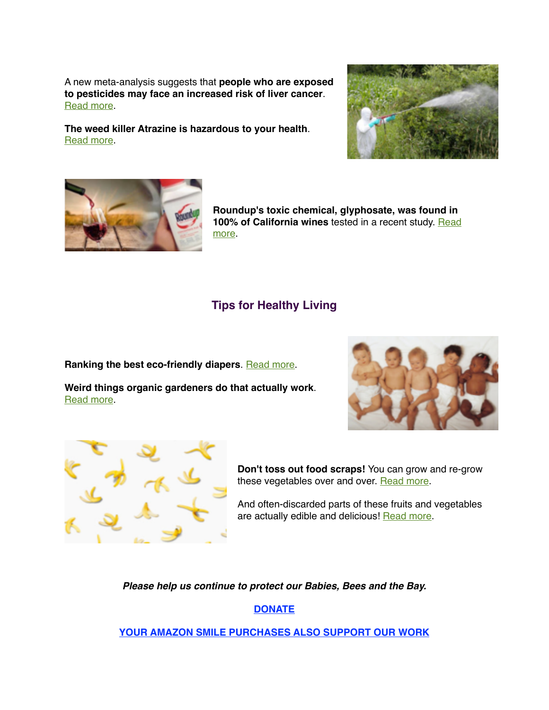A new meta-analysis suggests that **people who are exposed to pesticides may face an increased risk of liver cancer**. [Read more](http://mdpestnet.us12.list-manage2.com/track/click?u=dcf08b5ef315f2faae2ed89b7&id=5ef6b652f9&e=f5232c3d36).

**The weed killer Atrazine is hazardous to your health**. [Read more](http://mdpestnet.us12.list-manage.com/track/click?u=dcf08b5ef315f2faae2ed89b7&id=69c8a53a71&e=f5232c3d36).





**Roundup's toxic chemical, glyphosate, was found in 100% of California wines** tested in a recent study. Read more.

# **Tips for Healthy Living**

**Ranking the best eco-friendly diapers. [Read more.](http://mdpestnet.us12.list-manage.com/track/click?u=dcf08b5ef315f2faae2ed89b7&id=3763faa20d&e=f5232c3d36)** 

**Weird things organic gardeners do that actually work**. [Read more](http://mdpestnet.us12.list-manage.com/track/click?u=dcf08b5ef315f2faae2ed89b7&id=34ec70b48d&e=f5232c3d36).





**Don't toss out food scraps!** You can grow and re-grow these vegetables over and over. [Read more](http://mdpestnet.us12.list-manage.com/track/click?u=dcf08b5ef315f2faae2ed89b7&id=48a55666b0&e=f5232c3d36).

And often-discarded parts of these fruits and vegetables are actually edible and delicious! [Read more.](http://mdpestnet.us12.list-manage.com/track/click?u=dcf08b5ef315f2faae2ed89b7&id=e00ae9ba2b&e=f5232c3d36)

*Please help us continue to protect our Babies, Bees and the Bay.* 

**[DONATE](http://mdpestnet.us12.list-manage2.com/track/click?u=dcf08b5ef315f2faae2ed89b7&id=e9a67bd4fe&e=f5232c3d36)**

**[YOUR AMAZON SMILE PURCHASES ALSO SUPPORT OUR WORK](http://mdpestnet.us12.list-manage1.com/track/click?u=dcf08b5ef315f2faae2ed89b7&id=4475aacc4b&e=f5232c3d36)**